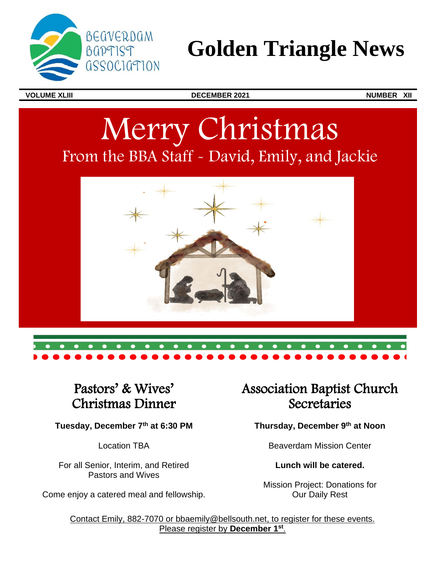

## **Golden Triangle News**

**VOLUME XLIII DECEMBER 2021 NUMBER XII**

# Merry Christmas From the BBA Staff - David, Emily, and Jackie



## Pastors' & Wives' Christmas Dinner

**Tuesday, December 7th at 6:30 PM**

Location TBA

For all Senior, Interim, and Retired Pastors and Wives

Come enjoy a catered meal and fellowship.

## Association Baptist Church **Secretaries**

**Thursday, December 9th at Noon** 

Beaverdam Mission Center

**Lunch will be catered.**

Mission Project: Donations for Our Daily Rest

Contact Emily, 882-7070 or bbaemily@bellsouth.net, to register for these events. Please register by **December 1st** .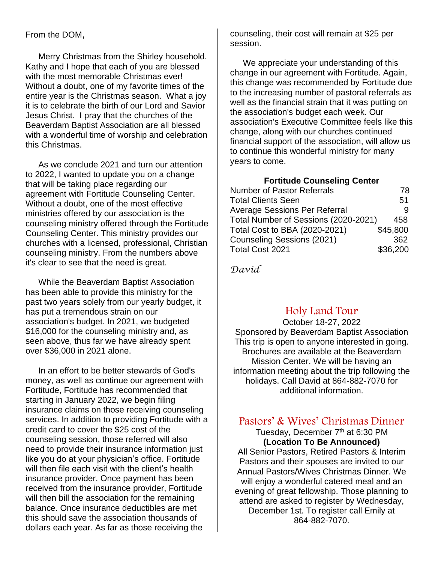#### From the DOM,

Merry Christmas from the Shirley household. Kathy and I hope that each of you are blessed with the most memorable Christmas ever! Without a doubt, one of my favorite times of the entire year is the Christmas season. What a joy it is to celebrate the birth of our Lord and Savior Jesus Christ. I pray that the churches of the Beaverdam Baptist Association are all blessed with a wonderful time of worship and celebration this Christmas.

As we conclude 2021 and turn our attention to 2022, I wanted to update you on a change that will be taking place regarding our agreement with Fortitude Counseling Center. Without a doubt, one of the most effective ministries offered by our association is the counseling ministry offered through the Fortitude Counseling Center. This ministry provides our churches with a licensed, professional, Christian counseling ministry. From the numbers above it's clear to see that the need is great.

While the Beaverdam Baptist Association has been able to provide this ministry for the past two years solely from our yearly budget, it has put a tremendous strain on our association's budget. In 2021, we budgeted \$16,000 for the counseling ministry and, as seen above, thus far we have already spent over \$36,000 in 2021 alone.

In an effort to be better stewards of God's money, as well as continue our agreement with Fortitude, Fortitude has recommended that starting in January 2022, we begin filing insurance claims on those receiving counseling services. In addition to providing Fortitude with a credit card to cover the \$25 cost of the counseling session, those referred will also need to provide their insurance information just like you do at your physician's office. Fortitude will then file each visit with the client's health insurance provider. Once payment has been received from the insurance provider, Fortitude will then bill the association for the remaining balance. Once insurance deductibles are met this should save the association thousands of dollars each year. As far as those receiving the

counseling, their cost will remain at \$25 per session.

We appreciate your understanding of this change in our agreement with Fortitude. Again, this change was recommended by Fortitude due to the increasing number of pastoral referrals as well as the financial strain that it was putting on the association's budget each week. Our association's Executive Committee feels like this change, along with our churches continued financial support of the association, will allow us to continue this wonderful ministry for many years to come.

**Fortitude Counseling Center**

| <b>Number of Pastor Referrals</b>    | 78       |
|--------------------------------------|----------|
| <b>Total Clients Seen</b>            | 51       |
| <b>Average Sessions Per Referral</b> |          |
| Total Number of Sessions (2020-2021) | 458      |
| Total Cost to BBA (2020-2021)        | \$45,800 |
| <b>Counseling Sessions (2021)</b>    | 362      |
| Total Cost 2021                      | \$36,200 |

*David* 

#### Holy Land Tour

October 18-27, 2022 Sponsored by Beaverdam Baptist Association This trip is open to anyone interested in going. Brochures are available at the Beaverdam Mission Center. We will be having an information meeting about the trip following the holidays. Call David at 864-882-7070 for additional information.

#### Pastors' & Wives' Christmas Dinner

Tuesday, December 7<sup>th</sup> at 6:30 PM **(Location To Be Announced)** All Senior Pastors, Retired Pastors & Interim Pastors and their spouses are invited to our Annual Pastors/Wives Christmas Dinner. We will enjoy a wonderful catered meal and an evening of great fellowship. Those planning to attend are asked to register by Wednesday, December 1st. To register call Emily at 864-882-7070.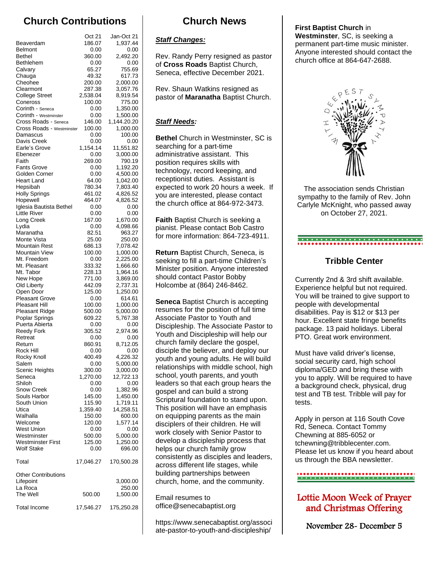### **Church Contributions**

|                                                | Oct 21             | Jan-Oct 21           |
|------------------------------------------------|--------------------|----------------------|
| Beaverdam                                      | 186.07             | 1,937.44             |
| <b>Belmont</b><br><b>Bethel</b>                | 0.00<br>360.00     | 0.00<br>2.492.20     |
| Bethlehem                                      | 0.00               | 0.00                 |
| Calvary                                        | 65.27              | 755.69               |
| Chauga                                         | 49.32              | 617.73               |
| Cheohee                                        | 200.00             | 2,000.00             |
| Clearmont                                      | 287.38             | 3,057.76             |
| <b>College Street</b>                          | 2,538.04           | 8,919.54             |
| Coneross<br>Corinth - Seneca                   | 100.00<br>0.00     | 775.00               |
| Corinth - Westminster                          | 0.00               | 1,350.00<br>1,500.00 |
| Cross Roads - Seneca                           | 146.00             | 1,144.20.20          |
| Cross Roads - Westminster                      | 100.00             | 1,000.00             |
| Damascus                                       | 0.00               | 100.00               |
| Davis Creek                                    | 0.00               | 0.00                 |
| Earle's Grove                                  | 1,154.14           | 11,551.82            |
| Ebenezer<br>Faith                              | 0.00<br>269.00     | 3,000.00<br>790.19   |
| <b>Fants Grove</b>                             | 0.00               | 1,192.20             |
| Golden Corner                                  | 0.00               | 4,500.00             |
| Heart Land                                     | 64.00              | 1,042.00             |
| Hepsibah                                       | 780.34             | 7,803.40             |
| <b>Holly Springs</b>                           | 461.02             | 4,826.52             |
| Hopewell                                       | 464.07             | 4,826.52             |
| Iglesia Bautista Bethel<br><b>Little River</b> | 0.00               | 0.00                 |
| Long Creek                                     | 0.00<br>167.00     | 0.00<br>1,670.00     |
| Lydia                                          | 0.00               | 4,098.66             |
| Maranatha                                      | 82.51              | 963.27               |
| Monte Vista                                    | 25.00              | 250.00               |
| Mountain Rest                                  | 686.13             | 7,078.42             |
| <b>Mountain View</b>                           | 100.00             | 1,000.00             |
| Mt. Freedom                                    | 0.00               | 2,225.00             |
| Mt. Pleasant<br>Mt. Tabor                      | 333.32<br>228.13   | 1,666.60<br>1,964.16 |
| New Hope                                       | 771.00             | 3,869.00             |
| Old Liberty                                    | 442.09             | 2,737.31             |
| Open Door                                      | 125.00             | 1,250.00             |
| <b>Pleasant Grove</b>                          | 0.00               | 614.61               |
| Pleasant Hill                                  | 100.00             | 1,000.00             |
| <b>Pleasant Ridge</b><br>Poplar Springs        | 500.00<br>609.22   | 5,000.00<br>5,767.38 |
| Puerta Abierta                                 | 0.00               | 0.00                 |
| <b>Reedy Fork</b>                              | 305.52             | 2,974.96             |
| Retreat                                        | 0.00               | 0.00                 |
| Return                                         | 860.91             | 8,712.05             |
| Rock Hill                                      | 0.00               | 0.00                 |
| Rocky Knoll<br>Salem                           | 400.49<br>0.00     | 4,226.32             |
| Scenic Heights                                 | 300.00             | 5,000.00<br>3,000.00 |
| Seneca                                         | 1,270.00           | 12,722.13            |
| Shiloh                                         | 0.00               | 0.00                 |
| Snow Creek                                     | 0.00               | 1,382.96             |
| Souls Harbor                                   | 145.00             | 1,450.00             |
| South Union                                    | 115.90             | 1,719.11             |
| Utica<br>Walhalla                              | 1,359.40<br>150.00 | 14,258.51<br>600.00  |
| Welcome                                        | 120.00             | 1,577.14             |
| <b>West Union</b>                              | 0.00               | 0.00                 |
| Westminster                                    | 500.00             | 5,000.00             |
| <b>Westminster First</b>                       | 125.00             | 1,250.00             |
| <b>Wolf Stake</b>                              | 0.00               | 696.00               |
| Total                                          | 17,046.27          | 170,500.28           |
| <b>Other Contributions</b>                     |                    |                      |
| Lifepoint                                      |                    | 3,000.00             |
| La Roca<br>The Well                            | 500.00             | 250.00<br>1,500.00   |
|                                                |                    |                      |
| <b>Total Income</b>                            | 17,546.27          | 175,250.28           |

### **Church News**

#### *Staff Changes:*

Rev. Randy Perry resigned as pastor of **Cross Roads** Baptist Church, Seneca, effective December 2021.

Rev. Shaun Watkins resigned as pastor of **Maranatha** Baptist Church.

#### *Staff Needs:*

**Bethel** Church in Westminster, SC is searching for a part-time administrative assistant. This position requires skills with technology, record keeping, and receptionist duties. Assistant is expected to work 20 hours a week. If you are interested, please contact the church office at 864-972-3473.

**Faith** Baptist Church is seeking a pianist. Please contact Bob Castro for more information: 864-723-4911.

**Return** Baptist Church, Seneca, is seeking to fill a part-time Children's Minister position. Anyone interested should contact Pastor Bobby Holcombe at (864) 246-8462.

**Seneca** Baptist Church is accepting resumes for the position of full time Associate Pastor to Youth and Discipleship. The Associate Pastor to Youth and Discipleship will help our church family declare the gospel, disciple the believer, and deploy our youth and young adults. He will build relationships with middle school, high school, youth parents, and youth leaders so that each group hears the gospel and can build a strong Scriptural foundation to stand upon. This position will have an emphasis on equipping parents as the main disciplers of their children. He will work closely with Senior Pastor to develop a discipleship process that helps our church family grow consistently as disciples and leaders, across different life stages, while building partnerships between church, home, and the community.

Email resumes to office@senecabaptist.org

https://www.senecabaptist.org/associ ate-pastor-to-youth-and-discipleship/

#### **First Baptist Church** in

**Westminster**, SC, is seeking a permanent part-time music minister. Anyone interested should contact the church office at 864-647-2688.



The association sends Christian sympathy to the family of Rev. John Carlyle McKnight, who passed away on October 27, 2021.

## 

#### **Tribble Center**

Currently 2nd & 3rd shift available. Experience helpful but not required. You will be trained to give support to people with developmental disabilities. Pay is \$12 or \$13 per hour. Excellent state fringe benefits package. 13 paid holidays. Liberal PTO. Great work environment.

Must have valid driver's license, social security card, high school diploma/GED and bring these with you to apply. Will be required to have a background check, physical, drug test and TB test. Tribble will pay for tests.

Apply in person at 116 South Cove Rd, Seneca. Contact Tommy Chewning at 885-6052 or tchewning@tribblecenter.com. Please let us know if you heard about us through the BBA newsletter.

#### ,,,,,,,,,,,,,,,,,,,,,,,,,,,,,,,,,,

#### Lottie Moon Week of Prayer and Christmas Offering

November 28- December 5